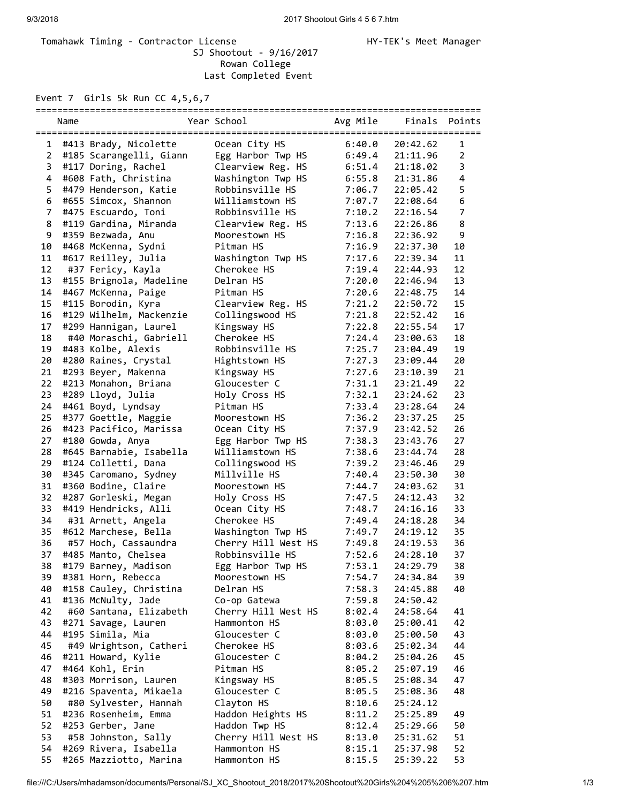## Tomahawk Timing - Contractor License Manager Manager HY-TEK's Meet Manager SJ Shootout - 9/16/2017 Rowan College Last Completed Event

Event 7 Girls 5k Run CC 4,5,6,7

|                | Name |                         | Year School         | Avg Mile | Finals Points |                |
|----------------|------|-------------------------|---------------------|----------|---------------|----------------|
| 1              |      | #413 Brady, Nicolette   | Ocean City HS       | 6:40.0   | 20:42.62      | $\mathbf{1}$   |
| 2              |      | #185 Scarangelli, Giann | Egg Harbor Twp HS   | 6:49.4   | 21:11.96      | $\overline{2}$ |
| 3              |      | #117 Doring, Rachel     | Clearview Reg. HS   | 6:51.4   | 21:18.02      | 3              |
| 4              |      | #608 Fath, Christina    | Washington Twp HS   | 6:55.8   | 21:31.86      | 4              |
| 5              |      | #479 Henderson, Katie   | Robbinsville HS     | 7:06.7   | 22:05.42      | 5              |
| 6              |      | #655 Simcox, Shannon    | Williamstown HS     | 7:07.7   | 22:08.64      | 6              |
| $\overline{7}$ |      | #475 Escuardo, Toni     | Robbinsville HS     | 7:10.2   | 22:16.54      | 7              |
| 8              |      | #119 Gardina, Miranda   | Clearview Reg. HS   | 7:13.6   | 22:26.86      | 8              |
| 9              |      | #359 Bezwada, Anu       | Moorestown HS       | 7:16.8   | 22:36.92      | 9              |
| 10             |      | #468 McKenna, Sydni     | Pitman HS           | 7:16.9   | 22:37.30      | 10             |
| 11             |      | #617 Reilley, Julia     | Washington Twp HS   | 7:17.6   | 22:39.34      | 11             |
| 12             |      | #37 Fericy, Kayla       | Cherokee HS         | 7:19.4   | 22:44.93      | 12             |
| 13             |      | #155 Brignola, Madeline | Delran HS           | 7:20.0   | 22:46.94      | 13             |
| 14             |      | #467 McKenna, Paige     | Pitman HS           | 7:20.6   | 22:48.75      | 14             |
| 15             |      | #115 Borodin, Kyra      | Clearview Reg. HS   | 7:21.2   | 22:50.72      | 15             |
| 16             |      | #129 Wilhelm, Mackenzie | Collingswood HS     | 7:21.8   | 22:52.42      | 16             |
| 17             |      | #299 Hannigan, Laurel   | Kingsway HS         | 7:22.8   | 22:55.54      | 17             |
| 18             |      | #40 Moraschi, Gabriell  | Cherokee HS         | 7:24.4   | 23:00.63      | 18             |
| 19             |      | #483 Kolbe, Alexis      | Robbinsville HS     | 7:25.7   | 23:04.49      | 19             |
| 20             |      | #280 Raines, Crystal    | Hightstown HS       | 7:27.3   | 23:09.44      | 20             |
| 21             |      | #293 Beyer, Makenna     | Kingsway HS         | 7:27.6   | 23:10.39      | 21             |
| 22             |      | #213 Monahon, Briana    | Gloucester C        | 7:31.1   | 23:21.49      | 22             |
| 23             |      | #289 Lloyd, Julia       | Holy Cross HS       | 7:32.1   | 23:24.62      | 23             |
| 24             |      | #461 Boyd, Lyndsay      | Pitman HS           | 7:33.4   | 23:28.64      | 24             |
| 25             |      | #377 Goettle, Maggie    | Moorestown HS       | 7:36.2   | 23:37.25      | 25             |
| 26             |      | #423 Pacifico, Marissa  | Ocean City HS       | 7:37.9   | 23:42.52      | 26             |
| 27             |      | #180 Gowda, Anya        | Egg Harbor Twp HS   | 7:38.3   | 23:43.76      | 27             |
| 28             |      | #645 Barnabie, Isabella | Williamstown HS     | 7:38.6   | 23:44.74      | 28             |
| 29             |      | #124 Colletti, Dana     | Collingswood HS     | 7:39.2   | 23:46.46      | 29             |
| 30             |      | #345 Caromano, Sydney   | Millville HS        | 7:40.4   | 23:50.30      | 30             |
| 31             |      | #360 Bodine, Claire     | Moorestown HS       | 7:44.7   | 24:03.62      | 31             |
| 32             |      | #287 Gorleski, Megan    | Holy Cross HS       | 7:47.5   | 24:12.43      | 32             |
| 33             |      | #419 Hendricks, Alli    | Ocean City HS       | 7:48.7   | 24:16.16      | 33             |
| 34             |      | #31 Arnett, Angela      | Cherokee HS         | 7:49.4   | 24:18.28      | 34             |
| 35             |      | #612 Marchese, Bella    | Washington Twp HS   | 7:49.7   | 24:19.12      | 35             |
| 36             |      | #57 Hoch, Cassaundra    | Cherry Hill West HS | 7:49.8   | 24:19.53      | 36             |
| 37             |      | #485 Manto, Chelsea     | Robbinsville HS     | 7:52.6   | 24:28.10      | 37             |
| 38             |      | #179 Barney, Madison    | Egg Harbor Twp HS   | 7:53.1   | 24:29.79      | 38             |
| 39             |      | #381 Horn, Rebecca      | Moorestown HS       | 7:54.7   | 24:34.84      | 39             |
| 40             |      | #158 Cauley, Christina  | Delran HS           | 7:58.3   | 24:45.88      | 40             |
| 41             |      | #136 McNulty, Jade      | Co-op Gatewa        | 7:59.8   | 24:50.42      |                |
| 42             |      | #60 Santana, Elizabeth  | Cherry Hill West HS | 8:02.4   | 24:58.64      | 41             |
| 43             |      | #271 Savage, Lauren     | Hammonton HS        | 8:03.0   | 25:00.41      | 42             |
| 44             |      | #195 Simila, Mia        | Gloucester C        | 8:03.0   | 25:00.50      | 43             |
| 45             |      | #49 Wrightson, Catheri  | Cherokee HS         | 8:03.6   | 25:02.34      | 44             |
| 46             |      | #211 Howard, Kylie      | Gloucester C        | 8:04.2   | 25:04.26      | 45             |
| 47             |      | #464 Kohl, Erin         | Pitman HS           | 8:05.2   | 25:07.19      | 46             |
| 48             |      | #303 Morrison, Lauren   | Kingsway HS         | 8:05.5   | 25:08.34      | 47             |
| 49             |      | #216 Spaventa, Mikaela  | Gloucester C        | 8:05.5   | 25:08.36      | 48             |
| 50             |      | #80 Sylvester, Hannah   | Clayton HS          | 8:10.6   | 25:24.12      |                |
| 51             |      | #236 Rosenheim, Emma    | Haddon Heights HS   | 8:11.2   | 25:25.89      | 49             |
| 52             |      | #253 Gerber, Jane       | Haddon Twp HS       | 8:12.4   | 25:29.66      | 50             |
| 53             |      | #58 Johnston, Sally     | Cherry Hill West HS | 8:13.0   | 25:31.62      | 51             |
| 54             |      | #269 Rivera, Isabella   | Hammonton HS        | 8:15.1   | 25:37.98      | 52             |
| 55             |      | #265 Mazziotto, Marina  | Hammonton HS        | 8:15.5   | 25:39.22      | 53             |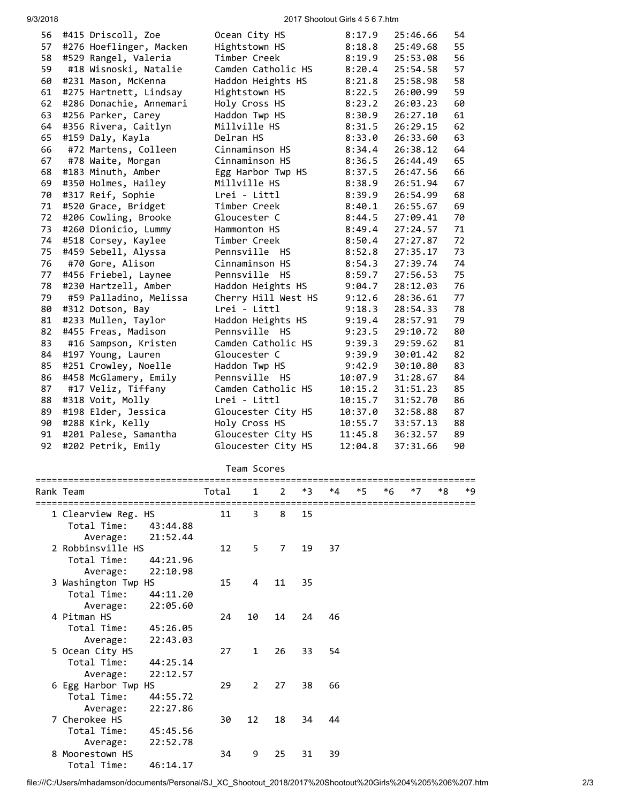## 9/3/2018 2017 Shootout Girls 4 5 6 7.htm

| 56 | #415 Driscoll, Zoe      | Ocean City HS           | 8:17.9  | 25:46.66 | 54 |
|----|-------------------------|-------------------------|---------|----------|----|
| 57 | #276 Hoeflinger, Macken | Hightstown HS           | 8:18.8  | 25:49.68 | 55 |
| 58 | #529 Rangel, Valeria    | Timber Creek            | 8:19.9  | 25:53.08 | 56 |
| 59 | #18 Wisnoski, Natalie   | Camden Catholic HS      | 8:20.4  | 25:54.58 | 57 |
| 60 | #231 Mason, McKenna     | Haddon Heights HS       | 8:21.8  | 25:58.98 | 58 |
| 61 | #275 Hartnett, Lindsay  | Hightstown HS           | 8:22.5  | 26:00.99 | 59 |
| 62 | #286 Donachie, Annemari | Holy Cross HS           | 8:23.2  | 26:03.23 | 60 |
| 63 | #256 Parker, Carey      | Haddon Twp HS           | 8:30.9  | 26:27.10 | 61 |
| 64 | #356 Rivera, Caitlyn    | Millville HS            | 8:31.5  | 26:29.15 | 62 |
| 65 | #159 Daly, Kayla        | Delran HS               | 8:33.0  | 26:33.60 | 63 |
| 66 | #72 Martens, Colleen    | Cinnaminson HS          | 8:34.4  | 26:38.12 | 64 |
| 67 | #78 Waite, Morgan       | Cinnaminson HS          | 8:36.5  | 26:44.49 | 65 |
| 68 | #183 Minuth, Amber      | Egg Harbor Twp HS       | 8:37.5  | 26:47.56 | 66 |
| 69 | #350 Holmes, Hailey     | Millville HS            | 8:38.9  | 26:51.94 | 67 |
| 70 | #317 Reif, Sophie       | Lrei - Littl            | 8:39.9  | 26:54.99 | 68 |
| 71 | #520 Grace, Bridget     | Timber Creek            | 8:40.1  | 26:55.67 | 69 |
| 72 | #206 Cowling, Brooke    | Gloucester C            | 8:44.5  | 27:09.41 | 70 |
| 73 | #260 Dionicio, Lummy    | Hammonton HS            | 8:49.4  | 27:24.57 | 71 |
| 74 | #518 Corsey, Kaylee     | Timber Creek            | 8:50.4  | 27:27.87 | 72 |
| 75 | #459 Sebell, Alyssa     | Pennsville HS           | 8:52.8  | 27:35.17 | 73 |
| 76 | #70 Gore, Alison        | Cinnaminson HS          | 8:54.3  | 27:39.74 | 74 |
| 77 | #456 Friebel, Laynee    | Pennsville<br><b>HS</b> | 8:59.7  | 27:56.53 | 75 |
| 78 | #230 Hartzell, Amber    | Haddon Heights HS       | 9:04.7  | 28:12.03 | 76 |
| 79 | #59 Palladino, Melissa  | Cherry Hill West HS     | 9:12.6  | 28:36.61 | 77 |
| 80 | #312 Dotson, Bay        | Lrei - Littl            | 9:18.3  | 28:54.33 | 78 |
| 81 | #233 Mullen, Taylor     | Haddon Heights HS       | 9:19.4  | 28:57.91 | 79 |
| 82 | #455 Freas, Madison     | Pennsville HS           | 9:23.5  | 29:10.72 | 80 |
| 83 | #16 Sampson, Kristen    | Camden Catholic HS      | 9:39.3  | 29:59.62 | 81 |
| 84 | #197 Young, Lauren      | Gloucester C            | 9:39.9  | 30:01.42 | 82 |
| 85 | #251 Crowley, Noelle    | Haddon Twp HS           | 9:42.9  | 30:10.80 | 83 |
| 86 | #458 McGlamery, Emily   | Pennsville HS           | 10:07.9 | 31:28.67 | 84 |
| 87 | #17 Veliz, Tiffany      | Camden Catholic HS      | 10:15.2 | 31:51.23 | 85 |
| 88 | #318 Voit, Molly        | Lrei - Littl            | 10:15.7 | 31:52.70 | 86 |
| 89 | #198 Elder, Jessica     | Gloucester City HS      | 10:37.0 | 32:58.88 | 87 |
| 90 | #288 Kirk, Kelly        | Holy Cross HS           | 10:55.7 | 33:57.13 | 88 |
| 91 | #201 Palese, Samantha   | Gloucester City HS      | 11:45.8 | 36:32.57 | 89 |
| 92 | #202 Petrik, Emily      | Gloucester City HS      | 12:04.8 | 37:31.66 | 90 |

| Team Scores |
|-------------|
|-------------|

|   | Rank Team           |          | Total | $\overline{1}$ | $\overline{2}$ | $*3$ | *4 | *5 | $*6$ | $*7$ | *R | *9 |
|---|---------------------|----------|-------|----------------|----------------|------|----|----|------|------|----|----|
|   |                     |          |       |                |                |      |    |    |      |      |    |    |
|   | 1 Clearview Reg. HS |          | 11    | 3              | 8              | 15   |    |    |      |      |    |    |
|   | Total Time:         | 43:44.88 |       |                |                |      |    |    |      |      |    |    |
|   | Average:            | 21:52.44 |       |                |                |      |    |    |      |      |    |    |
|   | 2 Robbinsville HS   | 12       | 5     | $\overline{7}$ | 19             | 37   |    |    |      |      |    |    |
|   | Total Time:         | 44:21.96 |       |                |                |      |    |    |      |      |    |    |
|   | Average:            | 22:10.98 |       |                |                |      |    |    |      |      |    |    |
|   | 3 Washington Twp HS |          | 15    | 4              | 11             | 35   |    |    |      |      |    |    |
|   | Total Time:         | 44:11.20 |       |                |                |      |    |    |      |      |    |    |
|   | Average:            | 22:05.60 |       |                |                |      |    |    |      |      |    |    |
|   | 4 Pitman HS         |          | 24    | 10             | 14             | 24   | 46 |    |      |      |    |    |
|   | Total Time:         | 45:26.05 |       |                |                |      |    |    |      |      |    |    |
|   | Average:            | 22:43.03 |       |                |                |      |    |    |      |      |    |    |
|   | 5 Ocean City HS     |          | 27    | $\mathbf{1}$   | 26             | 33   | 54 |    |      |      |    |    |
|   | Total Time:         | 44:25.14 |       |                |                |      |    |    |      |      |    |    |
|   | Average:            | 22:12.57 |       |                |                |      |    |    |      |      |    |    |
|   | 6 Egg Harbor Twp HS |          | 29    | 2              | 27             | 38   | 66 |    |      |      |    |    |
|   | Total Time:         | 44:55.72 |       |                |                |      |    |    |      |      |    |    |
|   | Average:            | 22:27.86 |       |                |                |      |    |    |      |      |    |    |
|   | 7 Cherokee HS       |          | 30    | 12             | 18             | 34   | 44 |    |      |      |    |    |
|   | Total Time:         | 45:45.56 |       |                |                |      |    |    |      |      |    |    |
|   | Average:            | 22:52.78 |       |                |                |      |    |    |      |      |    |    |
| 8 | Moorestown HS       |          | 34    | 9              | 25             | 31   | 39 |    |      |      |    |    |
|   | Total Time:         | 46:14.17 |       |                |                |      |    |    |      |      |    |    |